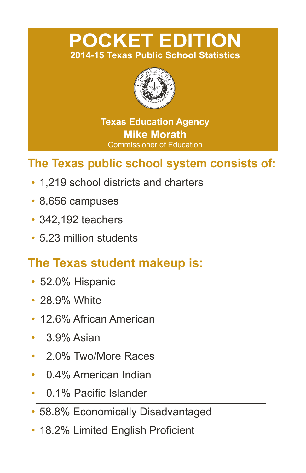# **POCKET EDITION 2014-15 Texas Public School Statistics**



**Texas Education Agency Mike Morath** Commissioner of Education

# **The Texas public school system consists of:**

- 1.219 school districts and charters
- 8,656 campuses
- 342,192 teachers
- 5.23 million students

# **The Texas student makeup is:**

- 52.0% Hispanic
- 28.9% White
- 12.6% African American
- $\cdot$  3.9% Asian
- 2.0% Two/More Races
- 0.4% American Indian
- 0.1% Pacific Islander
- 58.8% Economically Disadvantaged
- 18.2% Limited English Proficient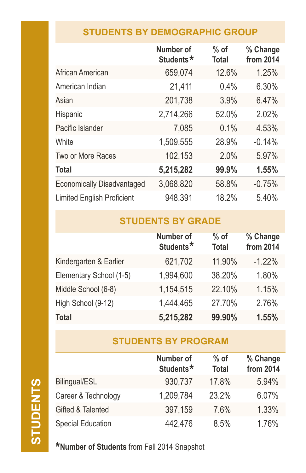## **STUDENTS BY DEMOGRAPHIC GROUP**

|                                   | Number of<br>Students* | $%$ of<br><b>Total</b> | % Change<br>from 2014 |
|-----------------------------------|------------------------|------------------------|-----------------------|
| African American                  | 659,074                | 12.6%                  | 1.25%                 |
| American Indian                   | 21,411                 | 0.4%                   | 6.30%                 |
| Asian                             | 201,738                | 3.9%                   | 6.47%                 |
| Hispanic                          | 2,714,266              | 52.0%                  | 2.02%                 |
| Pacific Islander                  | 7,085                  | 0.1%                   | 4.53%                 |
| White                             | 1,509,555              | 28.9%                  | $-0.14%$              |
| Two or More Races                 | 102,153                | 2.0%                   | 5.97%                 |
| <b>Total</b>                      | 5,215,282              | 99.9%                  | 1.55%                 |
| <b>Economically Disadvantaged</b> | 3,068,820              | 58.8%                  | $-0.75%$              |
| <b>Limited English Proficient</b> | 948,391                | 18.2%                  | 5.40%                 |

## **STUDENTS BY GRADE**

|                         | Number of<br>Students* | $%$ of<br><b>Total</b> | % Change<br>from 2014 |
|-------------------------|------------------------|------------------------|-----------------------|
| Kindergarten & Earlier  | 621,702                | 11.90%                 | $-1.22%$              |
| Elementary School (1-5) | 1,994,600              | 38.20%                 | 1.80%                 |
| Middle School (6-8)     | 1,154,515              | 22.10%                 | 1.15%                 |
| High School (9-12)      | 1,444,465              | 27.70%                 | 2.76%                 |
| <b>Total</b>            | 5,215,282              | 99.90%                 | 1.55%                 |

## **STUDENTS BY PROGRAM**

|                     | Number of<br>Students* | $%$ of<br><b>Total</b> | % Change<br>from 2014 |
|---------------------|------------------------|------------------------|-----------------------|
| Bilingual/ESL       | 930,737                | 17.8%                  | 5.94%                 |
| Career & Technology | 1,209,784              | 23.2%                  | 6.07%                 |
| Gifted & Talented   | 397,159                | 7.6%                   | 1.33%                 |
| Special Education   | 442,476                | 8.5%                   | 1.76%                 |

**\*Number of Students** from Fall 2014 Snapshot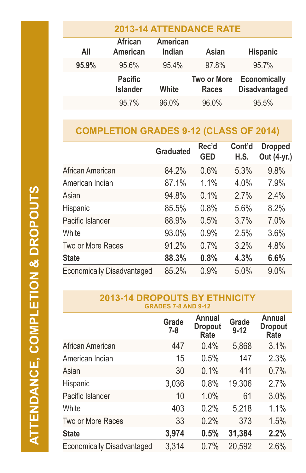| <b>2013-14 ATTENDANCE RATE</b> |                                   |                           |                                    |                                             |  |
|--------------------------------|-----------------------------------|---------------------------|------------------------------------|---------------------------------------------|--|
| All                            | <b>African</b><br><b>American</b> | <b>American</b><br>Indian | Asian                              | <b>Hispanic</b>                             |  |
| 95.9%                          | 95.6%                             | 95.4%                     | 97.8%                              | 95.7%                                       |  |
|                                | <b>Pacific</b><br><b>Islander</b> | White                     | <b>Two or More</b><br><b>Races</b> | <b>Economically</b><br><b>Disadvantaged</b> |  |
|                                | 95.7%                             | 96.0%                     | 96.0%                              | 95.5%                                       |  |

### **COMPLETION GRADES 9-12 (CLASS OF 2014)**

|                                   | <b>Graduated</b> | Rec'd<br><b>GED</b> | Cont'd<br>H.S. | <b>Dropped</b><br>Out (4-yr.) |
|-----------------------------------|------------------|---------------------|----------------|-------------------------------|
| African American                  | 84.2%            | 0.6%                | 5.3%           | 9.8%                          |
| American Indian                   | 87.1%            | 1.1%                | 4.0%           | 7.9%                          |
| Asian                             | 94.8%            | 0.1%                | 2.7%           | 2.4%                          |
| Hispanic                          | 85.5%            | 0.8%                | 5.6%           | 8.2%                          |
| Pacific Islander                  | 88.9%            | 0.5%                | 3.7%           | 7.0%                          |
| White                             | 93.0%            | 0.9%                | 2.5%           | 3.6%                          |
| Two or More Races                 | 91.2%            | 0.7%                | 3.2%           | 4.8%                          |
| <b>State</b>                      | 88.3%            | 0.8%                | 4.3%           | 6.6%                          |
| <b>Economically Disadvantaged</b> | 85.2%            | 0.9%                | 5.0%           | 9.0%                          |

#### **2013-14 DROPOUTS BY ETHNICITY GRADES 7-8 AND 9-12**

|                                   | Grade<br>7-8 | <b>Annual</b><br><b>Dropout</b><br>Rate | Grade<br>$9 - 12$ | Annual<br><b>Dropout</b><br>Rate |
|-----------------------------------|--------------|-----------------------------------------|-------------------|----------------------------------|
| African American                  | 447          | 0.4%                                    | 5,868             | 3.1%                             |
| American Indian                   | 15           | 0.5%                                    | 147               | 2.3%                             |
| Asian                             | 30           | 0.1%                                    | 411               | 0.7%                             |
| Hispanic                          | 3,036        | 0.8%                                    | 19,306            | 2.7%                             |
| Pacific Islander                  | 10           | 1.0%                                    | 61                | 3.0%                             |
| White                             | 403          | 0.2%                                    | 5,218             | 1.1%                             |
| Two or More Races                 | 33           | 0.2%                                    | 373               | 1.5%                             |
| <b>State</b>                      | 3,974        | 0.5%                                    | 31,384            | 2.2%                             |
| <b>Economically Disadvantaged</b> | 3,314        | 0.7%                                    | 20,592            | 2.6%                             |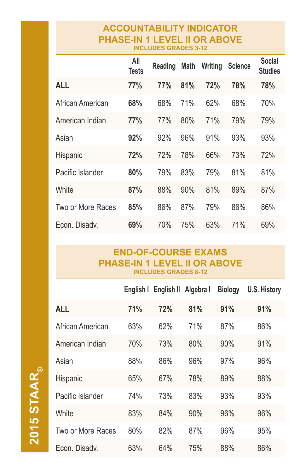#### **ACCOUNTABILITY INDICATOR PHASE-IN 1 LEVEL II OR ABOVE INCLUDES GRADES 3-12**

|                   | All<br><b>Tests</b> | Reading | <b>Math</b> | Writing | <b>Science</b> | <b>Social</b><br>Studies |
|-------------------|---------------------|---------|-------------|---------|----------------|--------------------------|
| <b>ALL</b>        | 77%                 | 77%     | 81%         | 72%     | 78%            | 78%                      |
| African American  | 68%                 | 68%     | 71%         | 62%     | 68%            | 70%                      |
| American Indian   | 77%                 | 77%     | 80%         | 71%     | 79%            | 79%                      |
| Asian             | 92%                 | 92%     | 96%         | 91%     | 93%            | 93%                      |
| <b>Hispanic</b>   | 72%                 | 72%     | 78%         | 66%     | 73%            | 72%                      |
| Pacific Islander  | 80%                 | 79%     | 83%         | 79%     | 81%            | 81%                      |
| White             | 87%                 | 88%     | 90%         | 81%     | 89%            | 87%                      |
| Two or More Races | 85%                 | 86%     | 87%         | 79%     | 86%            | 86%                      |
| Econ. Disady.     | 69%                 | 70%     | 75%         | 63%     | 71%            | 69%                      |

#### **END-OF-COURSE EXAMS PHASE-IN 1 LEVEL II OR ABOVE INCLUDES GRADES 8-12**

|                   | English I | English II | Algebra I | <b>Biology</b> | <b>U.S. History</b> |
|-------------------|-----------|------------|-----------|----------------|---------------------|
| <b>ALL</b>        | 71%       | 72%        | 81%       | 91%            | 91%                 |
| African American  | 63%       | 62%        | 71%       | 87%            | 86%                 |
| American Indian   | 70%       | 73%        | 80%       | 90%            | 91%                 |
| Asian             | 88%       | 86%        | 96%       | 97%            | 96%                 |
| <b>Hispanic</b>   | 65%       | 67%        | 78%       | 89%            | 88%                 |
| Pacific Islander  | 74%       | 73%        | 83%       | 93%            | 93%                 |
| White             | 83%       | 84%        | 90%       | 96%            | 96%                 |
| Two or More Races | 80%       | 82%        | 87%       | 96%            | 95%                 |
| Econ. Disadv.     | 63%       | 64%        | 75%       | 88%            | 86%                 |

**2015 STAAR 2015 STAAR**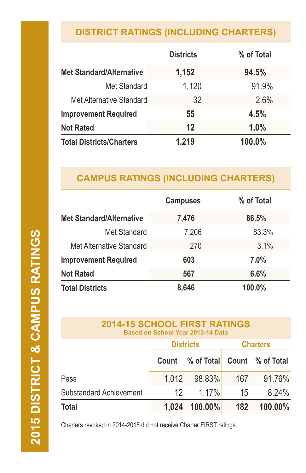# **DISTRICT RATINGS (INCLUDING CHARTERS)**

|                                 | <b>Districts</b> | % of Total |
|---------------------------------|------------------|------------|
| <b>Met Standard/Alternative</b> | 1,152            | 94.5%      |
| Met Standard                    | 1,120            | 91.9%      |
| Met Alternative Standard        | 32               | 2.6%       |
| <b>Improvement Required</b>     | 55               | 4.5%       |
| <b>Not Rated</b>                | 12               | 1.0%       |
| <b>Total Districts/Charters</b> | 1,219            | 100.0%     |

# **CAMPUS RATINGS (INCLUDING CHARTERS)**

|                                 | <b>Campuses</b> | % of Total |
|---------------------------------|-----------------|------------|
| <b>Met Standard/Alternative</b> | 7,476           | 86.5%      |
| Met Standard                    | 7,206           | 83.3%      |
| Met Alternative Standard        | 270             | 3.1%       |
| <b>Improvement Required</b>     | 603             | 7.0%       |
| <b>Not Rated</b>                | 567             | 6.6%       |
| <b>Total Districts</b>          | 8,646           | 100.0%     |

| <b>2014-15 SCHOOL FIRST RATINGS</b><br>Based on School Year 2013-14 Data |                                     |            |     |                  |
|--------------------------------------------------------------------------|-------------------------------------|------------|-----|------------------|
|                                                                          | <b>Charters</b><br><b>Districts</b> |            |     |                  |
|                                                                          | Count                               | % of Total |     | Count % of Total |
| Pass                                                                     | 1.012                               | 98.83%     | 167 | 91.76%           |
| Substandard Achievement                                                  | 12                                  | 1.17%      | 15  | 8.24%            |
| Total                                                                    | 1.024                               | 100.00%    | 182 | 100.00%          |

Charters revoked in 2014-2015 did not receive Charter FIRST ratings.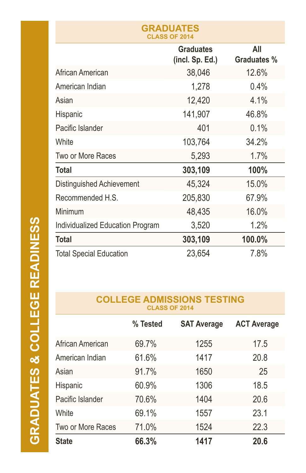| URADUAIEJ<br><b>CLASS OF 2014</b> |                                     |                           |  |  |
|-----------------------------------|-------------------------------------|---------------------------|--|--|
|                                   | <b>Graduates</b><br>(incl. Sp. Ed.) | All<br><b>Graduates %</b> |  |  |
| African American                  | 38,046                              | 12.6%                     |  |  |
| American Indian                   | 1,278                               | 0.4%                      |  |  |
| Asian                             | 12,420                              | 4.1%                      |  |  |
| Hispanic                          | 141,907                             | 46.8%                     |  |  |
| Pacific Islander                  | 401                                 | 0.1%                      |  |  |
| White                             | 103,764                             | 34.2%                     |  |  |
| Two or More Races                 | 5,293                               | 1.7%                      |  |  |
| Total                             | 303,109                             | 100%                      |  |  |
| Distinguished Achievement         | 45,324                              | 15.0%                     |  |  |
| Recommended H.S.                  | 205,830                             | 67.9%                     |  |  |
| Minimum                           | 48,435                              | 16.0%                     |  |  |
| Individualized Education Program  | 3,520                               | 1.2%                      |  |  |
| <b>Total</b>                      | 303,109                             | 100.0%                    |  |  |
| <b>Total Special Education</b>    | 23,654                              | 7.8%                      |  |  |

**GRADUATES**

#### **COLLEGE ADMISSIONS TESTING CLASS OF 2014**

|                   | % Tested | <b>SAT Average</b> | <b>ACT Average</b> |
|-------------------|----------|--------------------|--------------------|
| African American  | 69.7%    | 1255               | 17.5               |
| American Indian   | 61.6%    | 1417               | 20.8               |
| Asian             | 91.7%    | 1650               | 25                 |
| Hispanic          | 60.9%    | 1306               | 18.5               |
| Pacific Islander  | 70.6%    | 1404               | 20.6               |
| White             | 69.1%    | 1557               | 23.1               |
| Two or More Races | 71.0%    | 1524               | 22.3               |
| <b>State</b>      | 66.3%    | 1417               | 20.6               |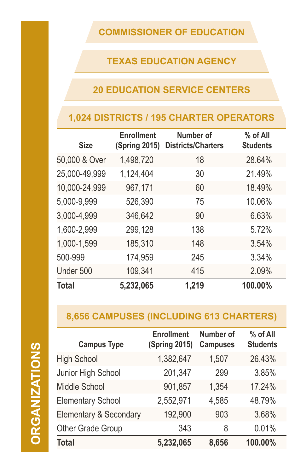### **COMMISSIONER OF EDUCATION**

## **TEXAS EDUCATION AGENCY**

### **20 EDUCATION SERVICE CENTERS**

## **1,024 DISTRICTS / 195 CHARTER OPERATORS**

| <b>Size</b>   | <b>Enrollment</b><br><b>(Spring 2015)</b> | Number of<br><b>Districts/Charters</b> | % of All<br><b>Students</b> |
|---------------|-------------------------------------------|----------------------------------------|-----------------------------|
| 50,000 & Over | 1,498,720                                 | 18                                     | 28.64%                      |
| 25,000-49,999 | 1,124,404                                 | 30                                     | 21.49%                      |
| 10,000-24,999 | 967,171                                   | 60                                     | 18.49%                      |
| 5,000-9,999   | 526,390                                   | 75                                     | 10.06%                      |
| 3,000-4,999   | 346,642                                   | 90                                     | 6.63%                       |
| 1,600-2,999   | 299,128                                   | 138                                    | 5.72%                       |
| 1,000-1,599   | 185,310                                   | 148                                    | 3.54%                       |
| 500-999       | 174,959                                   | 245                                    | 3.34%                       |
| Under 500     | 109,341                                   | 415                                    | 2.09%                       |
| <b>Total</b>  | 5,232,065                                 | 1,219                                  | 100.00%                     |

## **8,656 CAMPUSES (INCLUDING 613 CHARTERS)**

| Ċ                                                                                                                     |
|-----------------------------------------------------------------------------------------------------------------------|
| I                                                                                                                     |
| I                                                                                                                     |
|                                                                                                                       |
| <b>Service Service</b>                                                                                                |
|                                                                                                                       |
|                                                                                                                       |
| <b>Contract Contract Contract Contract Contract Contract Contract Contract Contract Contract Contract Contract Co</b> |
|                                                                                                                       |
|                                                                                                                       |
| Í                                                                                                                     |
| ľ                                                                                                                     |
| I                                                                                                                     |
|                                                                                                                       |
|                                                                                                                       |
|                                                                                                                       |

| <b>Campus Type</b>                | <b>Enrollment</b><br><b>(Spring 2015)</b> | Number of<br><b>Campuses</b> | % of All<br><b>Students</b> |
|-----------------------------------|-------------------------------------------|------------------------------|-----------------------------|
| <b>High School</b>                | 1,382,647                                 | 1,507                        | 26.43%                      |
| Junior High School                | 201,347                                   | 299                          | 3.85%                       |
| <b>Middle School</b>              | 901,857                                   | 1,354                        | 17.24%                      |
| <b>Elementary School</b>          | 2,552,971                                 | 4,585                        | 48.79%                      |
| <b>Elementary &amp; Secondary</b> | 192,900                                   | 903                          | 3.68%                       |
| Other Grade Group                 | 343                                       | 8                            | 0.01%                       |
| <b>Total</b>                      | 5,232,065                                 | 8,656                        | 100.00%                     |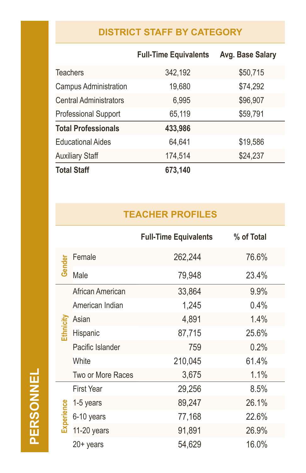# **DISTRICT STAFF BY CATEGORY**

|                               | <b>Full-Time Equivalents</b> | Avg. Base Salary |
|-------------------------------|------------------------------|------------------|
| <b>Teachers</b>               | 342,192                      | \$50,715         |
| <b>Campus Administration</b>  | 19,680                       | \$74,292         |
| <b>Central Administrators</b> | 6,995                        | \$96,907         |
| <b>Professional Support</b>   | 65,119                       | \$59,791         |
| <b>Total Professionals</b>    | 433,986                      |                  |
| <b>Educational Aides</b>      | 64,641                       | \$19,586         |
| <b>Auxiliary Staff</b>        | 174,514                      | \$24,237         |
| <b>Total Staff</b>            | 673,140                      |                  |

# **TEACHER PROFILES**

|            |                   | <b>Full-Time Equivalents</b> | % of Total |
|------------|-------------------|------------------------------|------------|
| Gender     | Female            | 262,244                      | 76.6%      |
|            | Male              | 79,948                       | 23.4%      |
|            | African American  | 33,864                       | 9.9%       |
|            | American Indian   | 1,245                        | 0.4%       |
|            | Asian             | 4,891                        | 1.4%       |
| Ethnicity  | Hispanic          | 87,715                       | 25.6%      |
|            | Pacific Islander  | 759                          | 0.2%       |
|            | White             | 210,045                      | 61.4%      |
|            | Two or More Races | 3,675                        | 1.1%       |
|            | <b>First Year</b> | 29,256                       | 8.5%       |
|            | 1-5 years         | 89,247                       | 26.1%      |
| Experience | 6-10 years        | 77,168                       | 22.6%      |
|            | $11-20$ years     | 91,891                       | 26.9%      |
|            | $20+$ years       | 54,629                       | 16.0%      |

PERSONNEL **PERSONNEL**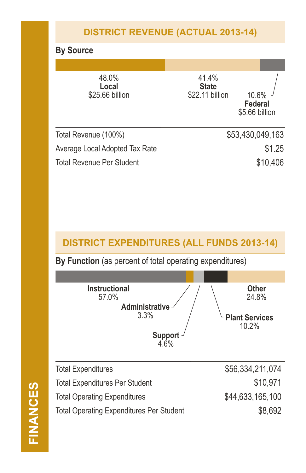## **DISTRICT REVENUE (ACTUAL 2013-14)**

#### **By Source**

| 48.0%<br>Local<br>\$25.66 billion | 41.4%<br><b>State</b><br>\$22.11 billion<br>10.6%<br><b>Federal</b><br>\$5.66 billion |
|-----------------------------------|---------------------------------------------------------------------------------------|
| Total Revenue (100%)              | \$53,430,049,163                                                                      |
| Average Local Adopted Tax Rate    | \$1.25                                                                                |
| Total Revenue Per Student         | \$10,406                                                                              |

#### **DISTRICT EXPENDITURES (ALL FUNDS 2013-14)**

**By Function** (as percent of total operating expenditures)



| <b>Total Expenditures</b>                       | \$56,334,211,074 |
|-------------------------------------------------|------------------|
| <b>Total Expenditures Per Student</b>           | \$10,971         |
| <b>Total Operating Expenditures</b>             | \$44,633,165,100 |
| <b>Total Operating Expenditures Per Student</b> | \$8,692          |
|                                                 |                  |

**FINANCES FINANCES**